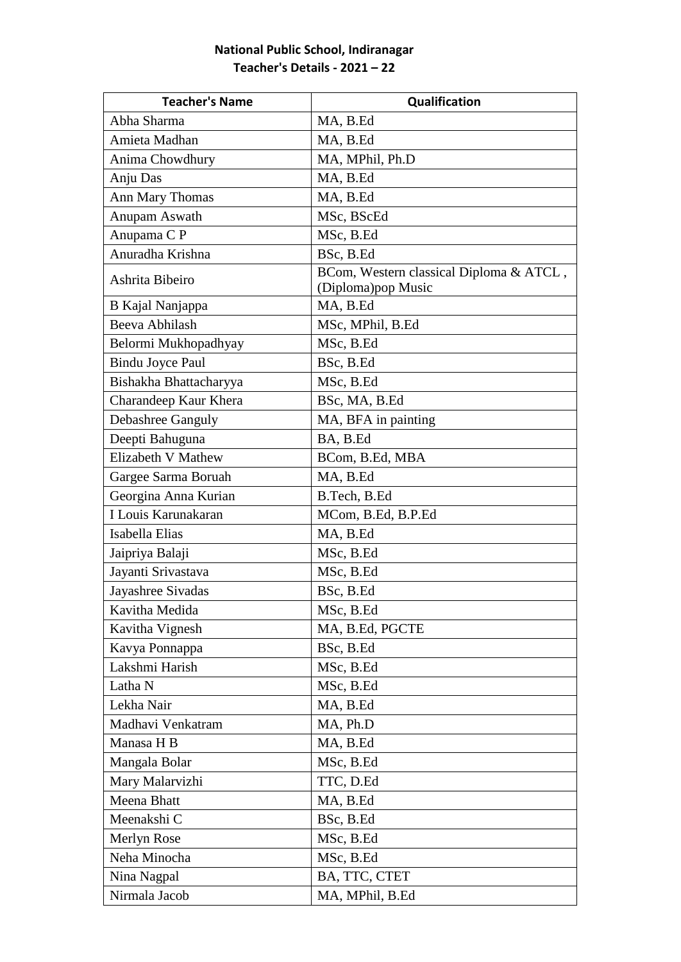## **National Public School, Indiranagar Teacher's Details - 2021 – 22**

| <b>Teacher's Name</b>   | Qualification                                                  |
|-------------------------|----------------------------------------------------------------|
| Abha Sharma             | MA, B.Ed                                                       |
| Amieta Madhan           | MA, B.Ed                                                       |
| Anima Chowdhury         | MA, MPhil, Ph.D                                                |
| Anju Das                | MA, B.Ed                                                       |
| Ann Mary Thomas         | MA, B.Ed                                                       |
| Anupam Aswath           | MSc, BScEd                                                     |
| Anupama C P             | MSc, B.Ed                                                      |
| Anuradha Krishna        | BSc, B.Ed                                                      |
| Ashrita Bibeiro         | BCom, Western classical Diploma & ATCL,<br>(Diploma) pop Music |
| B Kajal Nanjappa        | MA, B.Ed                                                       |
| Beeva Abhilash          | MSc, MPhil, B.Ed                                               |
| Belormi Mukhopadhyay    | MSc, B.Ed                                                      |
| <b>Bindu Joyce Paul</b> | BSc, B.Ed                                                      |
| Bishakha Bhattacharyya  | MSc, B.Ed                                                      |
| Charandeep Kaur Khera   | BSc, MA, B.Ed                                                  |
| Debashree Ganguly       | MA, BFA in painting                                            |
| Deepti Bahuguna         | BA, B.Ed                                                       |
| Elizabeth V Mathew      | BCom, B.Ed, MBA                                                |
| Gargee Sarma Boruah     | MA, B.Ed                                                       |
| Georgina Anna Kurian    | B.Tech, B.Ed                                                   |
| I Louis Karunakaran     | MCom, B.Ed, B.P.Ed                                             |
| Isabella Elias          | MA, B.Ed                                                       |
| Jaipriya Balaji         | MSc, B.Ed                                                      |
| Jayanti Srivastava      | MSc, B.Ed                                                      |
| Jayashree Sivadas       | BSc, B.Ed                                                      |
| Kavitha Medida          | MSc, B.Ed                                                      |
| Kavitha Vignesh         | MA, B.Ed, PGCTE                                                |
| Kavya Ponnappa          | BSc, B.Ed                                                      |
| Lakshmi Harish          | MSc, B.Ed                                                      |
| Latha N                 | MSc, B.Ed                                                      |
| Lekha Nair              | MA, B.Ed                                                       |
| Madhavi Venkatram       | MA, Ph.D                                                       |
| Manasa H B              | MA, B.Ed                                                       |
| Mangala Bolar           | MSc, B.Ed                                                      |
| Mary Malarvizhi         | TTC, D.Ed                                                      |
| Meena Bhatt             | MA, B.Ed                                                       |
| Meenakshi C             | BSc, B.Ed                                                      |
| Merlyn Rose             | MSc, B.Ed                                                      |
| Neha Minocha            | MSc, B.Ed                                                      |
| Nina Nagpal             | BA, TTC, CTET                                                  |
| Nirmala Jacob           | MA, MPhil, B.Ed                                                |